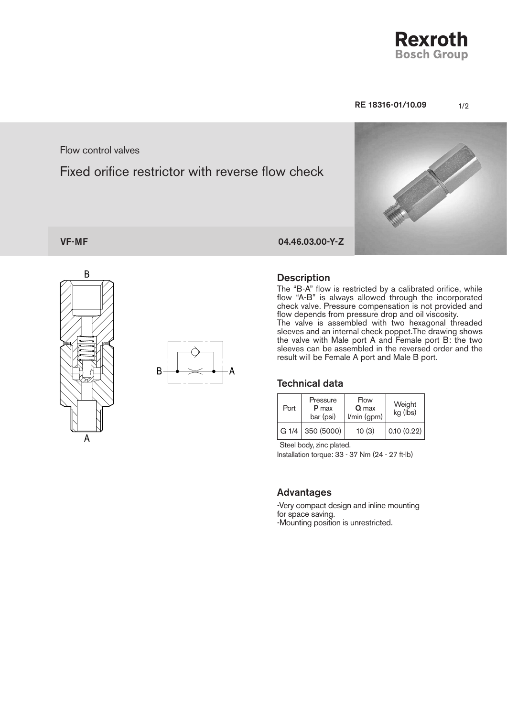**Rexroth Bosch Group** 

#### RE 18316-01/10.09 1/2

#### Flow control valves

# Fixed orifice restrictor with reverse flow check



# VF-MF 04.46.03.00-Y-Z

B

Α



#### **Description**

The "B-A" flow is restricted by a calibrated orifice, while flow "A-B" is always allowed through the incorporated check valve. Pressure compensation is not provided and flow depends from pressure drop and oil viscosity. The valve is assembled with two hexagonal threaded sleeves and an internal check poppet.The drawing shows the valve with Male port A and Female port B: the two sleeves can be assembled in the reversed order and the result will be Female A port and Male B port.

#### Technical data

| Port | Pressure<br>P max<br>bar (psi) | Flow<br>Q max<br>l/min (gpm) | Weight<br>kg (lbs) |
|------|--------------------------------|------------------------------|--------------------|
|      | $G1/4$ 350 (5000)              | 10(3)                        | 0.10(0.22)         |

Steel body, zinc plated.

Installation torque: 33 - 37 Nm (24 - 27 ft-lb)

#### **Advantages**

-Very compact design and inline mounting for space saving. -Mounting position is unrestricted.